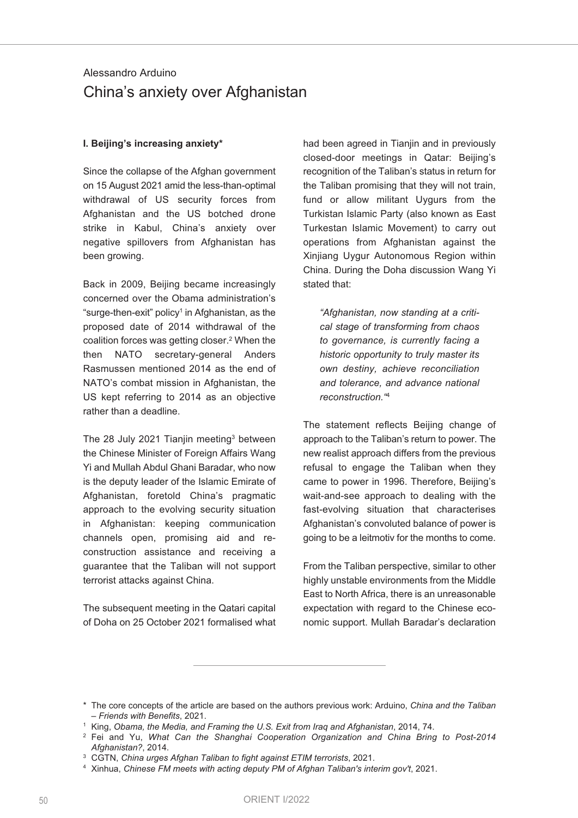# Alessandro Arduino China's anxiety over Afghanistan

## **I. Beijing's increasing anxiety\***

Since the collapse of the Afghan government on 15 August 2021 amid the less-than-optimal withdrawal of US security forces from Afghanistan and the US botched drone strike in Kabul, China's anxiety over negative spillovers from Afghanistan has been growing.

Back in 2009, Beijing became increasingly concerned over the Obama administration's "surge-then-exit" policy<sup>1</sup> in Afghanistan, as the proposed date of 2014 withdrawal of the coalition forces was getting closer. <sup>2</sup> When the then NATO secretary-general Anders Rasmussen mentioned 2014 as the end of NATO's combat mission in Afghanistan, the US kept referring to 2014 as an objective rather than a deadline.

The 28 July 2021 Tianjin meeting<sup>3</sup> between the Chinese Minister of Foreign Affairs Wang Yi and Mullah Abdul Ghani Baradar, who now is the deputy leader of the Islamic Emirate of Afghanistan, foretold China's pragmatic approach to the evolving security situation in Afghanistan: keeping communication channels open, promising aid and reconstruction assistance and receiving a guarantee that the Taliban will not support terrorist attacks against China.

The subsequent meeting in the Qatari capital of Doha on 25 October 2021 formalised what had been agreed in Tianjin and in previously closed-door meetings in Qatar: Beijing's recognition of the Taliban's status in return for the Taliban promising that they will not train, fund or allow militant Uygurs from the Turkistan Islamic Party (also known as East Turkestan Islamic Movement) to carry out operations from Afghanistan against the Xinjiang Uygur Autonomous Region within China. During the Doha discussion Wang Yi stated that:

*"Afghanistan, now standing at a critical stage of transforming from chaos to governance, is currently facing a historic opportunity to truly master its own destiny, achieve reconciliation and tolerance, and advance national reconstruction."*<sup>4</sup>

The statement reflects Beiling change of approach to the Taliban's return to power. The new realist approach differs from the previous refusal to engage the Taliban when they came to power in 1996. Therefore, Beijing's wait-and-see approach to dealing with the fast-evolving situation that characterises Afghanistan's convoluted balance of power is going to be a leitmotiv for the months to come.

From the Taliban perspective, similar to other highly unstable environments from the Middle East to North Africa, there is an unreasonable expectation with regard to the Chinese economic support. Mullah Baradar's declaration

<sup>\*</sup> The core concepts of the article are based on the authors previous work: Arduino, *China and the Taliban – Friends with Benefits*, 2021.

<sup>1</sup> King, *Obama, the Media, and Framing the U.S. Exit from Iraq and Afghanistan*, 2014, 74.

<sup>2</sup> Fei and Yu, *What Can the Shanghai Cooperation Organization and China Bring to Post-2014 Afghanistan?*, 2014.

<sup>3</sup> CGTN, *China urges Afghan Taliban to fight against ETIM terrorists*, 2021.

<sup>4</sup> Xinhua, *Chinese FM meets with acting deputy PM of Afghan Taliban's interim gov't*, 2021.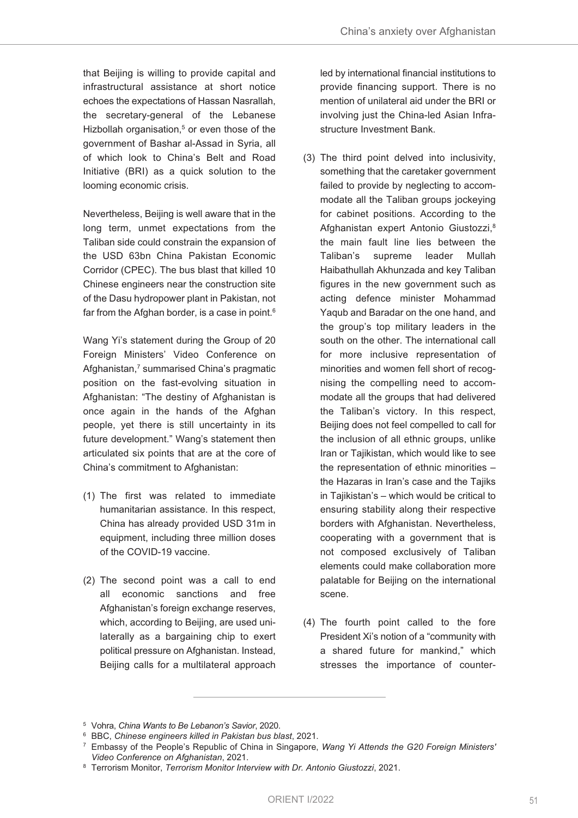that Beijing is willing to provide capital and infrastructural assistance at short notice echoes the expectations of Hassan Nasrallah, the secretary-general of the Lebanese Hizbollah organisation, <sup>5</sup> or even those of the government of Bashar al-Assad in Syria, all of which look to China's Belt and Road Initiative (BRI) as a quick solution to the looming economic crisis.

Nevertheless, Beijing is well aware that in the long term, unmet expectations from the Taliban side could constrain the expansion of the USD 63bn China Pakistan Economic Corridor (CPEC). The bus blast that killed 10 Chinese engineers near the construction site of the Dasu hydropower plant in Pakistan, not far from the Afghan border, is a case in point. $^6$ 

Wang Yi's statement during the Group of 20 Foreign Ministers' Video Conference on Afghanistan, <sup>7</sup> summarised China's pragmatic position on the fast-evolving situation in Afghanistan: "The destiny of Afghanistan is once again in the hands of the Afghan people, yet there is still uncertainty in its future development." Wang's statement then articulated six points that are at the core of China's commitment to Afghanistan:

- (1) The first was related to immediate humanitarian assistance. In this respect, China has already provided USD 31m in equipment, including three million doses of the COVID-19 vaccine.
- (2) The second point was a call to end all economic sanctions and free Afghanistan's foreign exchange reserves, which, according to Beijing, are used unilaterally as a bargaining chip to exert political pressure on Afghanistan. Instead, Beijing calls for a multilateral approach

led by international financial institutions to provide financing support. There is no mention of unilateral aid under the BRI or involving just the China-led Asian Infrastructure Investment Bank.

- (3) The third point delved into inclusivity, something that the caretaker government failed to provide by neglecting to accommodate all the Taliban groups jockeying for cabinet positions. According to the Afghanistan expert Antonio Giustozzi, 8 the main fault line lies between the Taliban's supreme leader Mullah Haibathullah Akhunzada and key Taliban figures in the new government such as acting defence minister Mohammad Yaqub and Baradar on the one hand, and the group's top military leaders in the south on the other. The international call for more inclusive representation of minorities and women fell short of recognising the compelling need to accommodate all the groups that had delivered the Taliban's victory. In this respect, Beijing does not feel compelled to call for the inclusion of all ethnic groups, unlike Iran or Tajikistan, which would like to see the representation of ethnic minorities – the Hazaras in Iran's case and the Tajiks in Tajikistan's – which would be critical to ensuring stability along their respective borders with Afghanistan. Nevertheless, cooperating with a government that is not composed exclusively of Taliban elements could make collaboration more palatable for Beijing on the international scene.
- (4) The fourth point called to the fore President Xi's notion of a "community with a shared future for mankind," which stresses the importance of counter-

<sup>5</sup> Vohra, *China Wants to Be Lebanon's Savior*, 2020.

<sup>6</sup> BBC, *Chinese engineers killed in Pakistan bus blast*, 2021.

<sup>7</sup> Embassy of the People's Republic of China in Singapore, *Wang Yi Attends the G20 Foreign Ministers' Video Conference on Afghanistan*, 2021.

<sup>8</sup> Terrorism Monitor, *Terrorism Monitor Interview with Dr. Antonio Giustozzi*, 2021.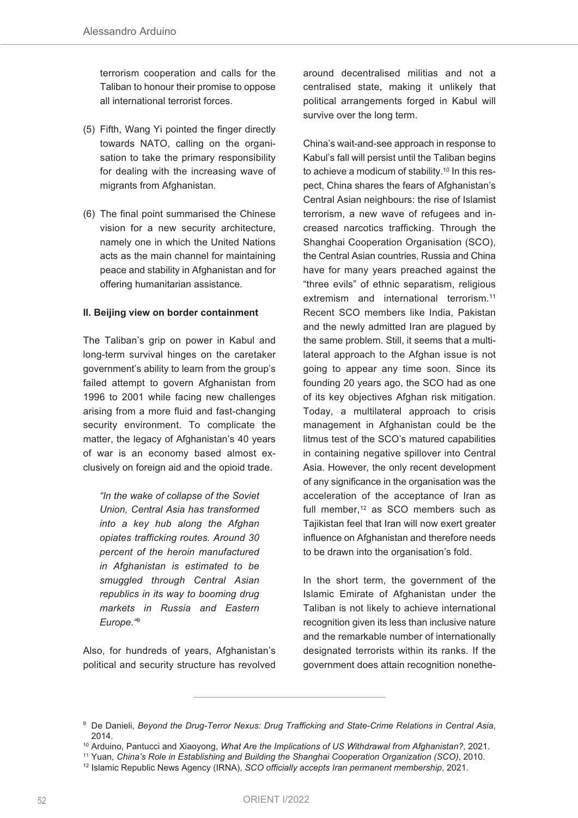terrorism cooperation and calls for the Taliban to honour their promise to oppose all international terrorist forces.

- (5) Fifth, Wang Yi pointed the finger directly towards NATO, calling on the organisation to take the primary responsibility for dealing with the increasing wave of migrants from Afghanistan.
- (6) The final point summarised the Chinese vision for a new security architecture, namely one in which the United Nations acts as the main channel for maintaining peace and stability in Afghanistan and for offering humanitarian assistance.

#### **II. Beijing view on border containment**

The Taliban's grip on power in Kabul and long-term survival hinges on the caretaker government's ability to learn from the group's failed attempt to govern Afghanistan from 1996 to 2001 while facing new challenges arising from a more fluid and fast-changing security environment. To complicate the matter, the legacy of Afghanistan's 40 years of war is an economy based almost exclusively on foreign aid and the opioid trade.

*"In the wake of collapse of the Soviet Union, Central Asia has transformed into a key hub along the Afghan opiates trafficking routes. Around 30 percent of the heroin manufactured in Afghanistan is estimated to be smuggled through Central Asian republics in its way to booming drug markets in Russia and Eastern Europe."*<sup>9</sup>

Also, for hundreds of years, Afghanistan's political and security structure has revolved around decentralised militias and not a centralised state, making it unlikely that political arrangements forged in Kabul will survive over the long term.

China's wait-and-see approach in response to Kabul's fall will persist until the Taliban begins to achieve a modicum of stability.<sup>10</sup> In this respect, China shares the fears of Afghanistan's Central Asian neighbours: the rise of Islamist terrorism, a new wave of refugees and increased narcotics trafficking. Through the Shanghai Cooperation Organisation (SCO), the Central Asian countries, Russia and China have for many years preached against the "three evils" of ethnic separatism, religious extremism and international terrorism. 11 Recent SCO members like India, Pakistan and the newly admitted Iran are plagued by the same problem. Still, it seems that a multilateral approach to the Afghan issue is not going to appear any time soon. Since its founding 20 years ago, the SCO had as one of its key objectives Afghan risk mitigation. Today, a multilateral approach to crisis management in Afghanistan could be the litmus test of the SCO's matured capabilities in containing negative spillover into Central Asia. However, the only recent development of any significance in the organisation was the acceleration of the acceptance of Iran as full member, <sup>12</sup> as SCO members such as Tajikistan feel that Iran will now exert greater influence on Afghanistan and therefore needs to be drawn into the organisation's fold.

In the short term, the government of the Islamic Emirate of Afghanistan under the Taliban is not likely to achieve international recognition given its less than inclusive nature and the remarkable number of internationally designated terrorists within its ranks. If the government does attain recognition nonethe-

<sup>9</sup> De Danieli, *Beyond the Drug-Terror Nexus: Drug Trafficking and State-Crime Relations in Central Asia*, 2014.

<sup>10</sup> Arduino, Pantucci and Xiaoyong, *What Are the Implications of US Withdrawal from Afghanistan?*, 2021.

<sup>11</sup> Yuan, *China's Role in Establishing and Building the Shanghai Cooperation Organization (SCO)*, 2010.

<sup>12</sup> Islamic Republic News Agency (IRNA), *SCO officially accepts Iran permanent membership*, 2021.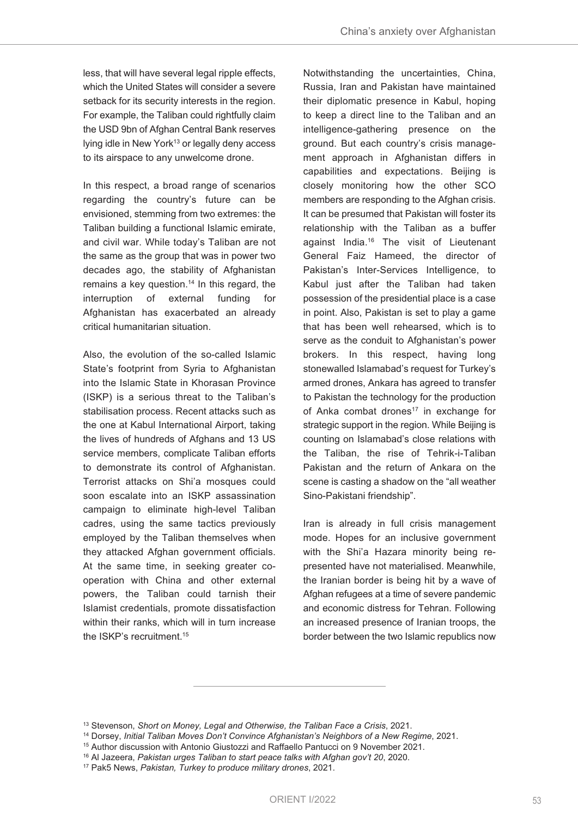less, that will have several legal ripple effects, which the United States will consider a severe setback for its security interests in the region. For example, the Taliban could rightfully claim the USD 9bn of Afghan Central Bank reserves lying idle in New York<sup>13</sup> or legally deny access to its airspace to any unwelcome drone.

In this respect, a broad range of scenarios regarding the country's future can be envisioned, stemming from two extremes: the Taliban building a functional Islamic emirate, and civil war. While today's Taliban are not the same as the group that was in power two decades ago, the stability of Afghanistan remains a key question. <sup>14</sup> In this regard, the interruption of external funding for Afghanistan has exacerbated an already critical humanitarian situation.

Also, the evolution of the so-called Islamic State's footprint from Syria to Afghanistan into the Islamic State in Khorasan Province (ISKP) is a serious threat to the Taliban's stabilisation process. Recent attacks such as the one at Kabul International Airport, taking the lives of hundreds of Afghans and 13 US service members, complicate Taliban efforts to demonstrate its control of Afghanistan. Terrorist attacks on Shi'a mosques could soon escalate into an ISKP assassination campaign to eliminate high-level Taliban cadres, using the same tactics previously employed by the Taliban themselves when they attacked Afghan government officials. At the same time, in seeking greater cooperation with China and other external powers, the Taliban could tarnish their Islamist credentials, promote dissatisfaction within their ranks, which will in turn increase the ISKP's recruitment. 15

Notwithstanding the uncertainties, China, Russia, Iran and Pakistan have maintained their diplomatic presence in Kabul, hoping to keep a direct line to the Taliban and an intelligence-gathering presence on the ground. But each country's crisis management approach in Afghanistan differs in capabilities and expectations. Beijing is closely monitoring how the other SCO members are responding to the Afghan crisis. It can be presumed that Pakistan will foster its relationship with the Taliban as a buffer against India. <sup>16</sup> The visit of Lieutenant General Faiz Hameed, the director of Pakistan's Inter-Services Intelligence, to Kabul just after the Taliban had taken possession of the presidential place is a case in point. Also, Pakistan is set to play a game that has been well rehearsed, which is to serve as the conduit to Afghanistan's power brokers. In this respect, having long stonewalled Islamabad's request for Turkey's armed drones, Ankara has agreed to transfer to Pakistan the technology for the production of Anka combat drones<sup>17</sup> in exchange for strategic support in the region. While Beijing is counting on Islamabad's close relations with the Taliban, the rise of Tehrik-i-Taliban Pakistan and the return of Ankara on the scene is casting a shadow on the "all weather Sino-Pakistani friendship".

Iran is already in full crisis management mode. Hopes for an inclusive government with the Shi'a Hazara minority being represented have not materialised. Meanwhile, the Iranian border is being hit by a wave of Afghan refugees at a time of severe pandemic and economic distress for Tehran. Following an increased presence of Iranian troops, the border between the two Islamic republics now

<sup>13</sup> Stevenson, *Short on Money, Legal and Otherwise, the Taliban Face a Crisis*, 2021.

<sup>14</sup> Dorsey, *Initial Taliban Moves Don't Convince Afghanistan's Neighbors of a New Regime*, 2021.

<sup>&</sup>lt;sup>15</sup> Author discussion with Antonio Giustozzi and Raffaello Pantucci on 9 November 2021.

<sup>16</sup> Al Jazeera, *Pakistan urges Taliban to start peace talks with Afghan gov't 20*, 2020.

<sup>17</sup> Pak5 News, *Pakistan, Turkey to produce military drones*, 2021.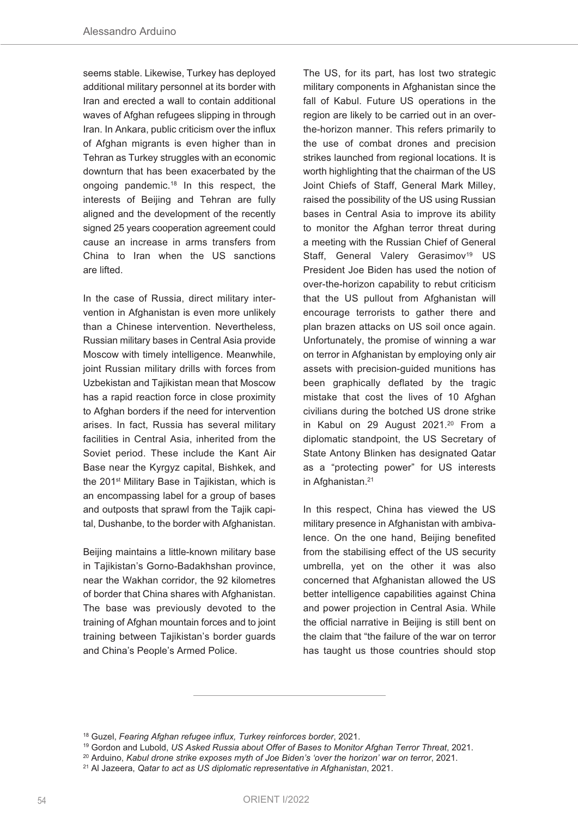seems stable. Likewise, Turkey has deployed additional military personnel at its border with Iran and erected a wall to contain additional waves of Afghan refugees slipping in through Iran. In Ankara, public criticism over the influx of Afghan migrants is even higher than in Tehran as Turkey struggles with an economic downturn that has been exacerbated by the ongoing pandemic. <sup>18</sup> In this respect, the interests of Beijing and Tehran are fully aligned and the development of the recently signed 25 years cooperation agreement could cause an increase in arms transfers from China to Iran when the US sanctions are lifted.

In the case of Russia, direct military intervention in Afghanistan is even more unlikely than a Chinese intervention. Nevertheless, Russian military bases in Central Asia provide Moscow with timely intelligence. Meanwhile, joint Russian military drills with forces from Uzbekistan and Tajikistan mean that Moscow has a rapid reaction force in close proximity to Afghan borders if the need for intervention arises. In fact, Russia has several military facilities in Central Asia, inherited from the Soviet period. These include the Kant Air Base near the Kyrgyz capital, Bishkek, and the 201<sup>st</sup> Military Base in Tajikistan, which is an encompassing label for a group of bases and outposts that sprawl from the Tajik capital, Dushanbe, to the border with Afghanistan.

Beijing maintains a little-known military base in Tajikistan's Gorno-Badakhshan province, near the Wakhan corridor, the 92 kilometres of border that China shares with Afghanistan. The base was previously devoted to the training of Afghan mountain forces and to joint training between Tajikistan's border guards and China's People's Armed Police.

The US, for its part, has lost two strategic military components in Afghanistan since the fall of Kabul. Future US operations in the region are likely to be carried out in an overthe-horizon manner. This refers primarily to the use of combat drones and precision strikes launched from regional locations. It is worth highlighting that the chairman of the US Joint Chiefs of Staff, General Mark Milley, raised the possibility of the US using Russian bases in Central Asia to improve its ability to monitor the Afghan terror threat during a meeting with the Russian Chief of General Staff, General Valery Gerasimov<sup>19</sup> US President Joe Biden has used the notion of over-the-horizon capability to rebut criticism that the US pullout from Afghanistan will encourage terrorists to gather there and plan brazen attacks on US soil once again. Unfortunately, the promise of winning a war on terror in Afghanistan by employing only air assets with precision-guided munitions has been graphically deflated by the tragic mistake that cost the lives of 10 Afghan civilians during the botched US drone strike in Kabul on 29 August 2021. <sup>20</sup> From a diplomatic standpoint, the US Secretary of State Antony Blinken has designated Qatar as a "protecting power" for US interests in Afghanistan. 21

In this respect, China has viewed the US military presence in Afghanistan with ambivalence. On the one hand, Beijing benefited from the stabilising effect of the US security umbrella, yet on the other it was also concerned that Afghanistan allowed the US better intelligence capabilities against China and power projection in Central Asia. While the official narrative in Beijing is still bent on the claim that "the failure of the war on terror has taught us those countries should stop

<sup>18</sup> Guzel, *Fearing Afghan refugee influx, Turkey reinforces border*, 2021.

<sup>19</sup> Gordon and Lubold, *US Asked Russia about Offer of Bases to Monitor Afghan Terror Threat*, 2021.

<sup>20</sup> Arduino, *Kabul drone strike exposes myth of Joe Biden's 'over the horizon' war on terror*, 2021.

<sup>21</sup> Al Jazeera, *Qatar to act as US diplomatic representative in Afghanistan*, 2021.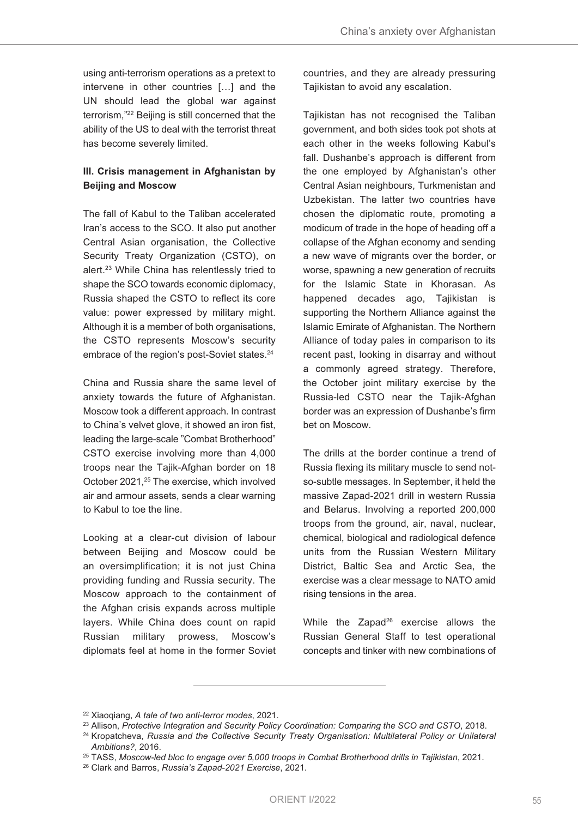using anti-terrorism operations as a pretext to intervene in other countries […] and the UN should lead the global war against terrorism,"22 Beijing is still concerned that the ability of the US to deal with the terrorist threat has become severely limited.

## **III. Crisis management in Afghanistan by Beijing and Moscow**

The fall of Kabul to the Taliban accelerated Iran's access to the SCO. It also put another Central Asian organisation, the Collective Security Treaty Organization (CSTO), on alert. <sup>23</sup> While China has relentlessly tried to shape the SCO towards economic diplomacy, Russia shaped the CSTO to reflect its core value: power expressed by military might. Although it is a member of both organisations, the CSTO represents Moscow's security embrace of the region's post-Soviet states. 24

China and Russia share the same level of anxiety towards the future of Afghanistan. Moscow took a different approach. In contrast to China's velvet glove, it showed an iron fist, leading the large-scale "Combat Brotherhood" CSTO exercise involving more than 4,000 troops near the Tajik-Afghan border on 18 October 2021, <sup>25</sup> The exercise, which involved air and armour assets, sends a clear warning to Kabul to toe the line.

Looking at a clear-cut division of labour between Beijing and Moscow could be an oversimplification; it is not just China providing funding and Russia security. The Moscow approach to the containment of the Afghan crisis expands across multiple layers. While China does count on rapid Russian military prowess, Moscow's diplomats feel at home in the former Soviet countries, and they are already pressuring Tajikistan to avoid any escalation.

Tajikistan has not recognised the Taliban government, and both sides took pot shots at each other in the weeks following Kabul's fall. Dushanbe's approach is different from the one employed by Afghanistan's other Central Asian neighbours, Turkmenistan and Uzbekistan. The latter two countries have chosen the diplomatic route, promoting a modicum of trade in the hope of heading off a collapse of the Afghan economy and sending a new wave of migrants over the border, or worse, spawning a new generation of recruits for the Islamic State in Khorasan. As happened decades ago, Tajikistan is supporting the Northern Alliance against the Islamic Emirate of Afghanistan. The Northern Alliance of today pales in comparison to its recent past, looking in disarray and without a commonly agreed strategy. Therefore, the October joint military exercise by the Russia-led CSTO near the Tajik-Afghan border was an expression of Dushanbe's firm bet on Moscow.

The drills at the border continue a trend of Russia flexing its military muscle to send notso-subtle messages. In September, it held the massive Zapad-2021 drill in western Russia and Belarus. Involving a reported 200,000 troops from the ground, air, naval, nuclear, chemical, biological and radiological defence units from the Russian Western Military District, Baltic Sea and Arctic Sea, the exercise was a clear message to NATO amid rising tensions in the area.

While the Zapad<sup>26</sup> exercise allows the Russian General Staff to test operational concepts and tinker with new combinations of

<sup>22</sup> Xiaoqiang, *A tale of two anti-terror modes*, 2021.

<sup>23</sup> Allison, *Protective Integration and Security Policy Coordination: Comparing the SCO and CSTO*, 2018.

<sup>24</sup> Kropatcheva, *Russia and the Collective Security Treaty Organisation: Multilateral Policy or Unilateral Ambitions?*, 2016.

<sup>25</sup> TASS, *Moscow-led bloc to engage over 5,000 troops in Combat Brotherhood drills in Tajikistan*, 2021.

<sup>26</sup> Clark and Barros, *Russia's Zapad-2021 Exercise*, 2021.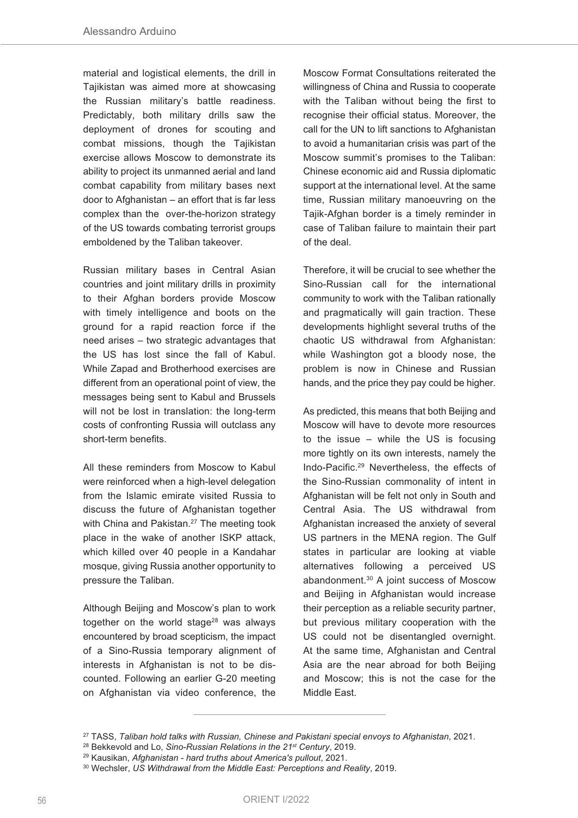material and logistical elements, the drill in Tajikistan was aimed more at showcasing the Russian military's battle readiness. Predictably, both military drills saw the deployment of drones for scouting and combat missions, though the Tajikistan exercise allows Moscow to demonstrate its ability to project its unmanned aerial and land combat capability from military bases next door to Afghanistan – an effort that is far less complex than the over-the-horizon strategy of the US towards combating terrorist groups emboldened by the Taliban takeover.

Russian military bases in Central Asian countries and joint military drills in proximity to their Afghan borders provide Moscow with timely intelligence and boots on the ground for a rapid reaction force if the need arises – two strategic advantages that the US has lost since the fall of Kabul. While Zapad and Brotherhood exercises are different from an operational point of view, the messages being sent to Kabul and Brussels will not be lost in translation: the long-term costs of confronting Russia will outclass any short-term benefits.

All these reminders from Moscow to Kabul were reinforced when a high-level delegation from the Islamic emirate visited Russia to discuss the future of Afghanistan together with China and Pakistan. <sup>27</sup> The meeting took place in the wake of another ISKP attack, which killed over 40 people in a Kandahar mosque, giving Russia another opportunity to pressure the Taliban.

Although Beijing and Moscow's plan to work together on the world stage<sup>28</sup> was always encountered by broad scepticism, the impact of a Sino-Russia temporary alignment of interests in Afghanistan is not to be discounted. Following an earlier G-20 meeting on Afghanistan via video conference, the

Moscow Format Consultations reiterated the willingness of China and Russia to cooperate with the Taliban without being the first to recognise their official status. Moreover, the call for the UN to lift sanctions to Afghanistan to avoid a humanitarian crisis was part of the Moscow summit's promises to the Taliban: Chinese economic aid and Russia diplomatic support at the international level. At the same time, Russian military manoeuvring on the Tajik-Afghan border is a timely reminder in case of Taliban failure to maintain their part of the deal.

Therefore, it will be crucial to see whether the Sino-Russian call for the international community to work with the Taliban rationally and pragmatically will gain traction. These developments highlight several truths of the chaotic US withdrawal from Afghanistan: while Washington got a bloody nose, the problem is now in Chinese and Russian hands, and the price they pay could be higher.

As predicted, this means that both Beijing and Moscow will have to devote more resources to the issue – while the US is focusing more tightly on its own interests, namely the Indo-Pacific. <sup>29</sup> Nevertheless, the effects of the Sino-Russian commonality of intent in Afghanistan will be felt not only in South and Central Asia. The US withdrawal from Afghanistan increased the anxiety of several US partners in the MENA region. The Gulf states in particular are looking at viable alternatives following a perceived US abandonment. <sup>30</sup> A joint success of Moscow and Beijing in Afghanistan would increase their perception as a reliable security partner, but previous military cooperation with the US could not be disentangled overnight. At the same time, Afghanistan and Central Asia are the near abroad for both Beijing and Moscow; this is not the case for the Middle East.

<sup>27</sup> TASS, *Taliban hold talks with Russian, Chinese and Pakistani special envoys to Afghanistan*, 2021.

<sup>28</sup> Bekkevold and Lo, *Sino-Russian Relations in the 21st Century*, 2019.

<sup>29</sup> Kausikan, *Afghanistan - hard truths about America's pullout*, 2021.

<sup>30</sup> Wechsler, *US Withdrawal from the Middle East: Perceptions and Reality*, 2019.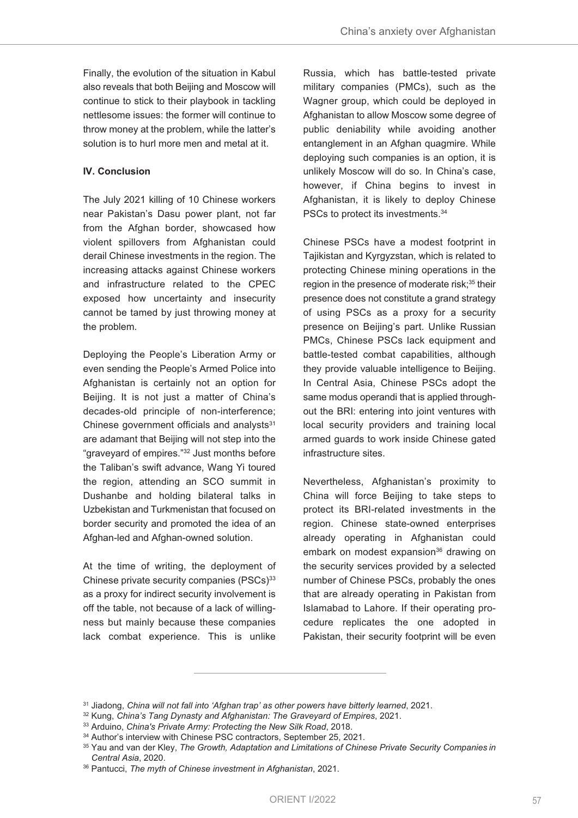Finally, the evolution of the situation in Kabul also reveals that both Beijing and Moscow will continue to stick to their playbook in tackling nettlesome issues: the former will continue to throw money at the problem, while the latter's solution is to hurl more men and metal at it.

## **IV. Conclusion**

The July 2021 killing of 10 Chinese workers near Pakistan's Dasu power plant, not far from the Afghan border, showcased how violent spillovers from Afghanistan could derail Chinese investments in the region. The increasing attacks against Chinese workers and infrastructure related to the CPEC exposed how uncertainty and insecurity cannot be tamed by just throwing money at the problem.

Deploying the People's Liberation Army or even sending the People's Armed Police into Afghanistan is certainly not an option for Beijing. It is not just a matter of China's decades-old principle of non-interference; Chinese government officials and analysts $31$ are adamant that Beijing will not step into the "graveyard of empires."32 Just months before the Taliban's swift advance, Wang Yi toured the region, attending an SCO summit in Dushanbe and holding bilateral talks in Uzbekistan and Turkmenistan that focused on border security and promoted the idea of an Afghan-led and Afghan-owned solution.

At the time of writing, the deployment of Chinese private security companies (PSCs)<sup>33</sup> as a proxy for indirect security involvement is off the table, not because of a lack of willingness but mainly because these companies lack combat experience. This is unlike

Russia, which has battle-tested private military companies (PMCs), such as the Wagner group, which could be deployed in Afghanistan to allow Moscow some degree of public deniability while avoiding another entanglement in an Afghan quagmire. While deploying such companies is an option, it is unlikely Moscow will do so. In China's case, however, if China begins to invest in Afghanistan, it is likely to deploy Chinese PSCs to protect its investments. 34

Chinese PSCs have a modest footprint in Tajikistan and Kyrgyzstan, which is related to protecting Chinese mining operations in the region in the presence of moderate risk; <sup>35</sup> their presence does not constitute a grand strategy of using PSCs as a proxy for a security presence on Beijing's part. Unlike Russian PMCs, Chinese PSCs lack equipment and battle-tested combat capabilities, although they provide valuable intelligence to Beijing. In Central Asia, Chinese PSCs adopt the same modus operandi that is applied throughout the BRI: entering into joint ventures with local security providers and training local armed guards to work inside Chinese gated infrastructure sites.

Nevertheless, Afghanistan's proximity to China will force Beijing to take steps to protect its BRI-related investments in the region. Chinese state-owned enterprises already operating in Afghanistan could embark on modest expansion<sup>36</sup> drawing on the security services provided by a selected number of Chinese PSCs, probably the ones that are already operating in Pakistan from Islamabad to Lahore. If their operating procedure replicates the one adopted in Pakistan, their security footprint will be even

<sup>36</sup> Pantucci, *The myth of Chinese investment in Afghanistan*, 2021.

<sup>31</sup> Jiadong, *China will not fall into 'Afghan trap' as other powers have bitterly learned*, 2021.

<sup>32</sup> Kung, *China's Tang Dynasty and Afghanistan: The Graveyard of Empires*, 2021.

<sup>33</sup> Arduino, *China's Private Army: Protecting the New Silk Road*, 2018.

<sup>&</sup>lt;sup>34</sup> Author's interview with Chinese PSC contractors, September 25, 2021.

<sup>35</sup> Yau and van der Kley, *The Growth, Adaptation and Limitations of Chinese Private Security Companies in Central Asia*, 2020.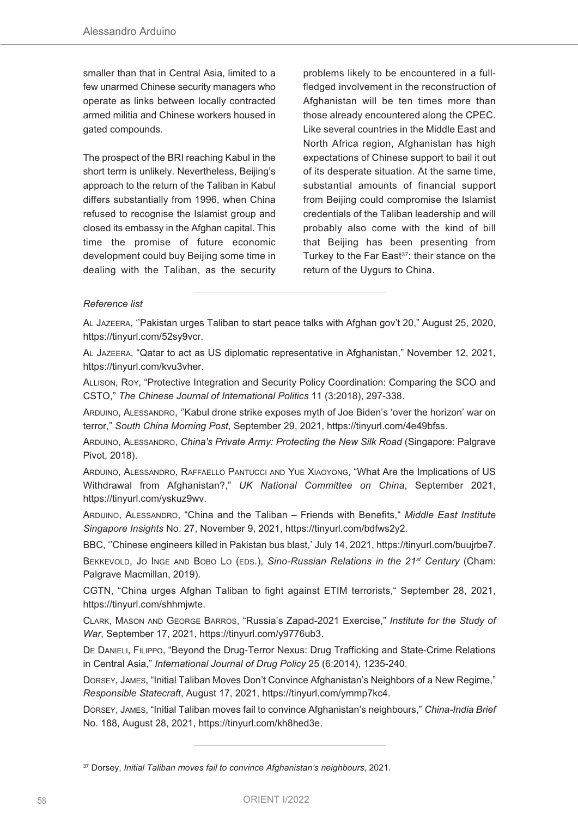smaller than that in Central Asia, limited to a few unarmed Chinese security managers who operate as links between locally contracted armed militia and Chinese workers housed in gated compounds.

The prospect of the BRI reaching Kabul in the short term is unlikely. Nevertheless, Beijing's approach to the return of the Taliban in Kabul differs substantially from 1996, when China refused to recognise the Islamist group and closed its embassy in the Afghan capital. This time the promise of future economic development could buy Beijing some time in dealing with the Taliban, as the security

problems likely to be encountered in a fullfledged involvement in the reconstruction of Afghanistan will be ten times more than those already encountered along the CPEC. Like several countries in the Middle East and North Africa region, Afghanistan has high expectations of Chinese support to bail it out of its desperate situation. At the same time, substantial amounts of financial support from Beijing could compromise the Islamist credentials of the Taliban leadership and will probably also come with the kind of bill that Beijing has been presenting from Turkey to the Far East 37: their stance on the return of the Uygurs to China.

## *Reference list*

AL JAZEERA, ''Pakistan urges Taliban to start peace talks with Afghan gov't 20," August 25, 2020, https://tinyurl.com/52sy9vcr.

AL JAZEERA, "Qatar to act as US diplomatic representative in Afghanistan," November 12, 2021, https://tinyurl.com/kvu3vher.

ALLISON, ROY, "Protective Integration and Security Policy Coordination: Comparing the SCO and CSTO," *The Chinese Journal of International Politics* 11 (3:2018), 297-338.

ARDUINO, ALESSANDRO, ''Kabul drone strike exposes myth of Joe Biden's 'over the horizon' war on terror," *South China Morning Post*, September 29, 2021, https://tinyurl.com/4e49bfss.

ARDUINO, ALESSANDRO, *China's Private Army: Protecting the New Silk Road* (Singapore: Palgrave Pivot, 2018).

ARDUINO, ALESSANDRO, RAFFAELLO PANTUCCI AND YUE XIAOYONG, "What Are the Implications of US Withdrawal from Afghanistan?," *UK National Committee on China*, September 2021, https://tinyurl.com/yskuz9wv.

ARDUINO, ALESSANDRO, "China and the Taliban – Friends with Benefits," *Middle East Institute Singapore Insights* No. 27, November 9, 2021, https://tinyurl.com/bdfws2y2.

BBC, ''Chinese engineers killed in Pakistan bus blast,' July 14, 2021, https://tinyurl.com/buujrbe7.

BEKKEVOLD, JO INGE AND BOBO LO (EDS.), *Sino-Russian Relations in the 21st Century* (Cham: Palgrave Macmillan, 2019).

CGTN, "China urges Afghan Taliban to fight against ETIM terrorists," September 28, 2021, https://tinyurl.com/shhmjwte.

CLARK, MASON AND GEORGE BARROS, "Russia's Zapad-2021 Exercise," *Institute for the Study of War*, September 17, 2021, https://tinyurl.com/y9776ub3.

DE DANIELI, FILIPPO, "Beyond the Drug-Terror Nexus: Drug Trafficking and State-Crime Relations in Central Asia," *International Journal of Drug Policy* 25 (6:2014), 1235-240.

DORSEY, JAMES, "Initial Taliban Moves Don't Convince Afghanistan's Neighbors of a New Regime," *Responsible Statecraft*, August 17, 2021, https://tinyurl.com/ymmp7kc4.

DORSEY, JAMES, "Initial Taliban moves fail to convince Afghanistan's neighbours," *China-India Brief* No. 188, August 28, 2021, https://tinyurl.com/kh8hed3e.

<sup>37</sup> Dorsey, *Initial Taliban moves fail to convince Afghanistan's neighbours*, 2021.